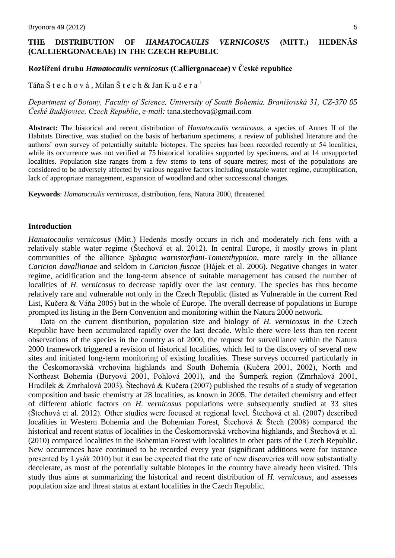# **THE DISTRIBUTION OF** *HAMATOCAULIS VERNICOSUS* **(MITT.) HEDENÄS (CALLIERGONACEAE) IN THE CZECH REPUBLIC**

# **Rozšíření druhu** *Hamatocaulis vernicosus* **(Calliergonaceae) v České republice**

Táňa Štechová, Milan Štech & Jan Kučera $^1$ 

## *Department of Botany, Faculty of Science, University of South Bohemia, Branišovská 31, CZ-370 05 České Budějovice, Czech Republic, e-mail:* tana.stechova@gmail.com

**Abstract:** The historical and recent distribution of *Hamatocaulis vernicosus*, a species of Annex II of the Habitats Directive, was studied on the basis of herbarium specimens, a review of published literature and the authors' own survey of potentially suitable biotopes. The species has been recorded recently at 54 localities, while its occurrence was not verified at 75 historical localities supported by specimens, and at 14 unsupported localities. Population size ranges from a few stems to tens of square metres; most of the populations are considered to be adversely affected by various negative factors including unstable water regime, eutrophication, lack of appropriate management, expansion of woodland and other successional changes.

**Keywords**: *Hamatocaulis vernicosus,* distribution, fens, Natura 2000, threatened

#### **Introduction**

*Hamatocaulis vernicosus* (Mitt.) Hedenäs mostly occurs in rich and moderately rich fens with a relatively stable water regime (Štechová et al. 2012). In central Europe, it mostly grows in plant communities of the alliance *Sphagno warnstorfiani-Tomenthypnion*, more rarely in the alliance *Caricion davallianae* and seldom in *Caricion fuscae* (Hájek et al. 2006). Negative changes in water regime, acidification and the long-term absence of suitable management has caused the number of localities of *H. vernicosus* to decrease rapidly over the last century. The species has thus become relatively rare and vulnerable not only in the Czech Republic (listed as Vulnerable in the current Red List, Kučera & Váňa 2005) but in the whole of Europe. The overall decrease of populations in Europe prompted its listing in the Bern Convention and monitoring within the Natura 2000 network.

Data on the current distribution, population size and biology of *H. vernicosus* in the Czech Republic have been accumulated rapidly over the last decade. While there were less than ten recent observations of the species in the country as of 2000, the request for surveillance within the Natura 2000 framework triggered a revision of historical localities, which led to the discovery of several new sites and initiated long-term monitoring of existing localities. These surveys occurred particularly in the Českomoravská vrchovina highlands and South Bohemia (Kučera 2001, 2002), North and Northeast Bohemia (Buryová 2001, Pohlová 2001), and the Šumperk region (Zmrhalová 2001, Hradílek & Zmrhalová 2003). Štechová & Kučera (2007) published the results of a study of vegetation composition and basic chemistry at 28 localities, as known in 2005. The detailed chemistry and effect of different abiotic factors on *H. vernicosus* populations were subsequently studied at 33 sites (Štechová et al. 2012). Other studies were focused at regional level. Štechová et al. (2007) described localities in Western Bohemia and the Bohemian Forest, Štechová & Štech (2008) compared the historical and recent status of localities in the Českomoravská vrchovina highlands, and Štechová et al. (2010) compared localities in the Bohemian Forest with localities in other parts of the Czech Republic. New occurrences have continued to be recorded every year (significant additions were for instance presented by Lysák 2010) but it can be expected that the rate of new discoveries will now substantially decelerate, as most of the potentially suitable biotopes in the country have already been visited. This study thus aims at summarizing the historical and recent distribution of *H. vernicosus*, and assesses population size and threat status at extant localities in the Czech Republic.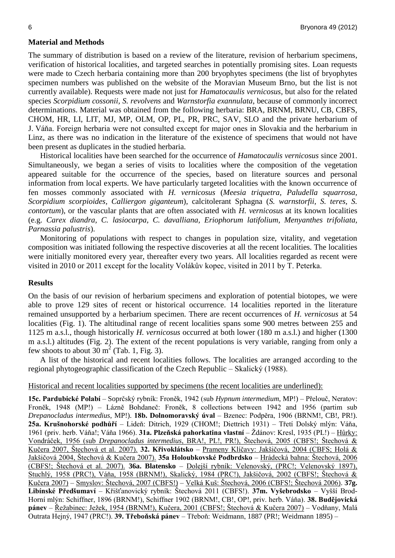### **Material and Methods**

The summary of distribution is based on a review of the literature, revision of herbarium specimens, verification of historical localities, and targeted searches in potentially promising sites. Loan requests were made to Czech herbaria containing more than 200 bryophytes specimens (the list of bryophytes specimen numbers was published on the website of the Moravian Museum Brno, but the list is not currently available). Requests were made not just for *Hamatocaulis vernicosus*, but also for the related species *Scorpidium cossonii, S. revolvens* and *Warnstorfia exannulata*, because of commonly incorrect determinations. Material was obtained from the following herbaria: BRA, BRNM, BRNU, CB, CBFS, CHOM, HR, LI, LIT, MJ, MP, OLM, OP, PL, PR, PRC, SAV, SLO and the private herbarium of J. Váňa. Foreign herbaria were not consulted except for major ones in Slovakia and the herbarium in Linz, as there was no indication in the literature of the existence of specimens that would not have been present as duplicates in the studied herbaria.

Historical localities have been searched for the occurrence of *Hamatocaulis vernicosus* since 2001. Simultaneously, we began a series of visits to localities where the composition of the vegetation appeared suitable for the occurrence of the species, based on literature sources and personal information from local experts. We have particularly targeted localities with the known occurrence of fen mosses commonly associated with *H. vernicosus* (*Meesia triquetra, Paludella squarrosa, Scorpidium scorpioides, Calliergon giganteum*), calcitolerant Sphagna (*S. warnstorfii, S. teres, S. contortum*), or the vascular plants that are often associated with *H. vernicosus* at its known localities (e.g. *Carex diandra, C. lasiocarpa, C. davalliana, Eriophorum latifolium, Menyanthes trifoliata, Parnassia palustris*).

Monitoring of populations with respect to changes in population size, vitality, and vegetation composition was initiated following the respective discoveries at all the recent localities. The localities were initially monitored every year, thereafter every two years. All localities regarded as recent were visited in 2010 or 2011 except for the locality Volákův kopec, visited in 2011 by T. Peterka.

#### **Results**

On the basis of our revision of herbarium specimens and exploration of potential biotopes, we were able to prove 129 sites of recent or historical occurrence. 14 localities reported in the literature remained unsupported by a herbarium specimen. There are recent occurrences of *H. vernicosus* at 54 localities (Fig. 1). The altitudinal range of recent localities spans some 900 metres between 255 and 1125 m a.s.l., though historically *H. vernicosus* occurred at both lower (180 m a.s.l.) and higher (1300 m a.s.l.) altitudes (Fig. 2). The extent of the recent populations is very variable, ranging from only a few shoots to about  $30 \text{ m}^2$  (Tab. 1, Fig. 3).

A list of the historical and recent localities follows. The localities are arranged according to the regional phytogeographic classification of the Czech Republic – Skalický (1988).

#### Historical and recent localities supported by specimens (the recent localities are underlined):

**15c. Pardubické Polabí** – Soprčský rybník: Froněk, 1942 (sub *Hypnum intermedium*, MP!) – Přelouč, Neratov: Froněk, 1948 (MP!) – Lázně Bohdaneč: Froněk, 8 collections between 1942 and 1956 (partim sub *Drepanocladus intermedius*, MP!). **18b. Dolnomoravský úval** – Bzenec: Podpěra, 1906 (BRNM!, CB!, PR!). **25a. Krušnohorské podhůří** – Lideň: Ditrich, 1929 (CHOM!; Diettrich 1931) – Třetí Dolský mlýn: Váňa, 1961 (priv. herb. Váňa!; Váňa 1966). **31a. Plzeňská pahorkatina vlastní** – Ždánov: Kresl, 1935 (PL!) – Hůrky: Vondráček, 1956 (sub *Drepanocladus intermedius*, BRA!, PL!, PR!), Štechová, 2005 (CBFS!; Štechová & Kučera 2007, Štechová et al. 2007). **32. Křivoklátsko** – Prameny Klíčavy: Jakšičová, 2004 (CBFS; Holá & Jakšičová 2004, Štechová & Kučera 2007). **35a Holoubkovské Podbrdsko** – Hrádecká bahna: Štechová, 2006 (CBFS!; Štechová et al. 2007). **36a. Blatensko** – Dolejší rybník: Velenovský, (PRC!; Velenovský 1897), Stuchlý, 1958 (PRC!), Váňa, 1958 (BRNM!), Skalický, 1984 (PRC!), Jakšičová, 2002 (CBFS!; Štechová & Kučera 2007) – Smyslov: Štechová, 2007 (CBFS!) – Velká Kuš: Štechová, 2006 (CBFS!; Štechová 2006). **37g. Libínské Předšumaví** – Křišťanovický rybník: Štechová 2011 (CBFS!). **37m. Vyšebrodsko** – Vyšší Brod-Horní mlýn: Schiffner, 1896 (BRNM!), Schiffner 1902 (BRNM!, CB!, OP!, priv. herb. Váňa). **38. Budějovická pánev** – Řežabinec: Ježek, 1954 (BRNM!), Kučera, 2001 (CBFS!; Štechová & Kučera 2007) – Vodňany, Malá Outrata Hejný, 1947 (PRC!). **39. Třeboňská pánev** – Třeboň: Weidmann, 1887 (PR!; Weidmann 1895) –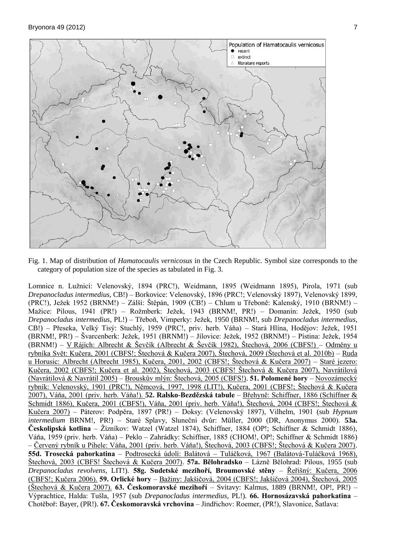

Fig. 1. Map of distribution of *Hamatocaulis vernicosus* in the Czech Republic. Symbol size corresponds to the category of population size of the species as tabulated in Fig. 3.

Lomnice n. Lužnicí: Velenovský, 1894 (PRC!), Weidmann, 1895 (Weidmann 1895), Pirola, 1971 (sub *Drepanocladus intermedius,* CB!) – Borkovice: Velenovský, 1896 (PRC!; Velenovský 1897), Velenovský 1899, (PRC!), Ježek 1952 (BRNM!) – Zálší: Štěpán, 1909 (CB!) – Chlum u Třeboně: Kalenský, 1910 (BRNM!) – Mažice: Pilous, 1941 (PR!) – Rožmberk: Ježek, 1943 (BRNM!, PR!) – Domanín: Ježek, 1950 (sub *Drepanocladus intermedius*, PL!) – Třeboň, Vimperky: Ježek, 1950 (BRNM!, sub *Drepanocladus intermedius*, CB!) – Přeseka, Velký Tisý: Stuchlý, 1959 (PRC!, priv. herb. Váňa) – Stará Hlína, Hodějov: Ježek, 1951 (BRNM!, PR!) – Švarcenberk: Ježek, 1951 (BRNM!) – Jílovice: Ježek, 1952 (BRNM!) – Pístina: Ježek, 1954 (BRNM!) – V Rájích: Albrecht & Ševčík (Albrecht & Ševčík 1982), Štechová, 2006 (CBFS!) – Odměny u rybníka Svět: Kučera, 2001 (CBFS!; Štechová & Kučera 2007), Štechová, 2009 (Štechová et al. 2010b) – Ruda u Horusic: Albrecht (Albrecht 1985), Kučera, 2001, 2002 (CBFS!; Štechová & Kučera 2007) – Staré jezero: Kučera, 2002 (CBFS!; Kučera et al. 2002), Štechová, 2003 (CBFS! Štechová & Kučera 2007), Navrátilová (Navrátilová & Navrátil 2005) – Brouskův mlýn: Štechová, 2005 (CBFS!). **51. Polomené hory** – Novozámecký rybník: Velenovský, 1901 (PRC!), Němcová, 1997, 1998 (LIT!), Kučera, 2001 (CBFS!; Štechová & Kučera 2007), Váňa, 2001 (priv. herb. Váňa!). **52. Ralsko-Bezdězská tabule** – Břehyně: Schiffner, 1886 (Schiffner & Schmidt 1886), Kučera, 2001 (CBFS!), Váňa, 2001 (priv. herb. Váňa!), Štechová, 2004 (CBFS!; Štechová & Kučera 2007) – Páterov: Podpěra, 1897 (PR!) – Doksy: (Velenovský 1897), Vilhelm, 1901 (sub *Hypnum intermedium* BRNM!, PR!) – Staré Splavy, Sluneční dvůr: Müller, 2000 (DR, Anonymus 2000). **53a. Českolipská kotlina** – Žízníkov: Watzel (Watzel 1874), Schiffner, 1884 (OP!; Schiffner & Schmidt 1886), Váňa, 1959 (priv. herb. Váňa) – Peklo – Zahrádky: Schiffner, 1885 (CHOM!, OP!; Schiffner & Schmidt 1886) – Červený rybník u Pihele: Váňa, 2001 (priv. herb. Váňa!), Štechová, 2003 (CBFS!; Štechová & Kučera 2007). **55d. Trosecká pahorkatina** – Podtrosecká údolí: Balátová – Tuláčková, 1967 (Balátová-Tuláčková 1968), Štechová, 2003 (CBFS! Štechová & Kučera 2007). **57a. Bělohradsko** – Lázně Bělohrad: Pilous, 1955 (sub *Drepanocladus revolvens*, LIT!). **58g. Sudetské mezihoří, Broumovské stěny** – Řeřišný: Kučera, 2006 (CBFS!; Kučera 2006). **59. Orlické hory** – Bažiny: Jakšičová, 2004 (CBFS!; Jakšičová 2004), Štechová, 2005 (Štechová & Kučera 2007). **63. Českomoravské mezihoří** – Svitavy: Kalmus, 1889 (BRNM!, OP!, PR!) – Výprachtice, Halda: Tušla, 1957 (sub *Drepanocladus intermedius*, PL!). **66. Hornosázavská pahorkatina** – Chotěboř: Bayer, (PR!). **67. Českomoravská vrchovina** – Jindřichov: Roemer, (PR!), Slavonice, Šatlava: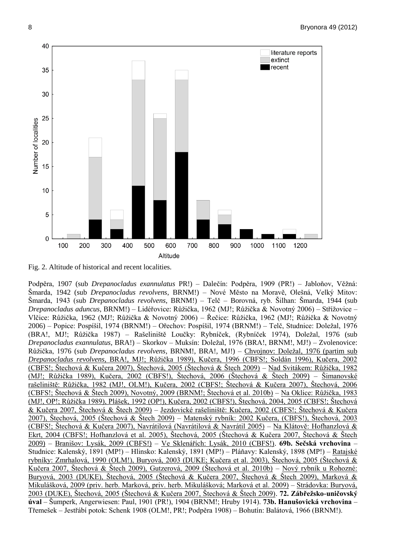

Fig. 2. Altitude of historical and recent localities.

Podpěra, 1907 (sub *Drepanocladus exannulatus* PR!) – Dalečín: Podpěra, 1909 (PR!) – Jabloňov, Věžná: Šmarda, 1942 (sub *Drepanocladus revolvens*, BRNM!) – Nové Město na Moravě, Olešná, Velký Mitov: Šmarda, 1943 (sub *Drepanocladus revolvens*, BRNM!) – Telč – Borovná, ryb. Šilhan: Šmarda, 1944 (sub *Drepanocladus aduncus*, BRNM!) – Lidéřovice: Růžička, 1962 (MJ!; Růžička & Novotný 2006) – Střížovice – Vlčice: Růžička, 1962 (MJ!; Růžička & Novotný 2006) – Řečice: Růžička, 1962 (MJ!; Růžička & Novotný 2006) – Popice: Pospíšil, 1974 (BRNM!) – Ořechov: Pospíšil, 1974 (BRNM!) – Telč, Studnice: Doležal, 1976 (BRA!, MJ!; Růžička 1987) – Rašeliniště Loučky: Rybníček, (Rybníček 1974), Doležal, 1976 (sub *Drepanocladus exannulatus,* BRA!) – Skorkov – Muksín: Doležal, 1976 (BRA!, BRNM!, MJ!) – Zvolenovice: Růžička, 1976 (sub *Drepanocladus revolvens*, BRNM!, BRA!, MJ!) – Chvojnov: Doležal*,* 1976 (partim sub *Drepanocladus revolvens*, BRA!, MJ!; Růžička 1989), Kučera, 1996 (CBFS!; Soldán 1996), Kučera, 2002 (CBFS!; Štechová & Kučera 2007), Štechová, 2005 (Štechová & Štech 2009) – Nad Svitákem: Růžička, 1982 (MJ!; Růžička 1989), Kučera, 2002 (CBFS!), Štechová, 2006 (Štechová & Štech 2009) – Šimanovské rašeliniště: Růžička, 1982 (MJ!, OLM!), Kučera, 2002 (CBFS!; Štechová & Kučera 2007), Štechová, 2006 (CBFS!; Štechová & Štech 2009), Novotný, 2009 (BRNM!; Štechová et al. 2010b) – Na Oklice: Růžička, 1983 (MJ!, OP!; Růžička 1989), Plášek, 1992 (OP!), Kučera, 2002 (CBFS!), Štechová, 2004, 2005 (CBFS!; Štechová & Kučera 2007, Štechová & Štech 2009) – Jezdovické rašeliniště: Kučera, 2002 (CBFS!; Štechová & Kučera 2007), Štechová, 2005 (Štechová & Štech 2009) – Matenský rybník: 2002 Kučera, (CBFS!), Štechová, 2003 (CBFS!; Štechová & Kučera 2007), Navrátilová (Navrátilová & Navrátil 2005) – Na Klátově: Hofhanzlová & Ekrt, 2004 (CBFS!; Hofhanzlová et al. 2005), Štechová, 2005 (Štechová & Kučera 2007, Štechová & Štech 2009) – Branišov: Lysák, 2009 (CBFS!) – Ve Sklenářích: Lysák, 2010 (CBFS!). **69b. Sečská vrchovina** – Studnice: Kalenský, 1891 (MP!) – Hlinsko: Kalenský, 1891 (MP!) – Pláňavy: Kalenský, 1898 (MP!) – Ratajské rybníky: Zmrhalová, 1990 (OLM!), Buryová, 2003 (DUKE; Kučera et al. 2003), Štechová, 2005 (Štechová & Kučera 2007, Štechová & Štech 2009), Gutzerová, 2009 (Štechová et al. 2010b) – Nový rybník u Rohozné: Buryová, 2003 (DUKE), Štechová, 2005 (Štechová & Kučera 2007, Štechová & Štech 2009), Marková & Mikulášková, 2009 (priv. herb. Marková, priv. herb. Mikulášková; Marková et al. 2009) – Strádovka: Buryová, 2003 (DUKE), Štechová, 2005 (Štechová & Kučera 2007, Štechová & Štech 2009). **72. Zábřežsko-uničovský úval** – Šumperk, Angerwiesen: Paul, 1901 (PR!), 1904 (BRNM!; Hruby 1914). **73b. Hanušovická vrchovina** – Třemešek – Jestřábí potok: Schenk 1908 (OLM!, PR!; Podpěra 1908) – Bohutín: Balátová, 1966 (BRNM!).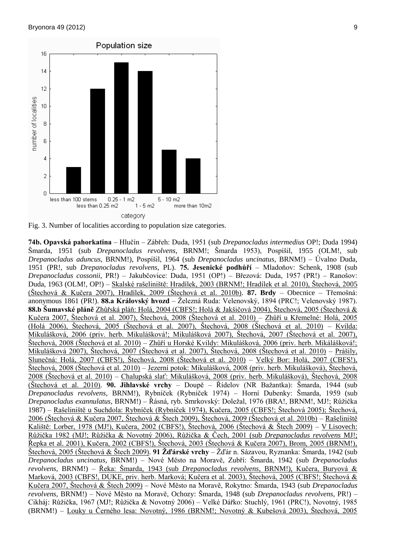

Fig. 3. Number of localities according to population size categories.

**74b. Opavská pahorkatina** – Hlučín – Zábřeh: Duda, 1951 (sub *Drepanocladus intermedius* OP!; Duda 1994) Šmarda*,* 1951 (sub *Drepanocladus revolvens*, BRNM!; Šmarda 1953), Pospíšil*,* 1955 (OLM!, sub *Drepanocladus aduncus*, BRNM!), Pospíšil*,* 1964 (sub *Drepanocladus uncinatus*, BRNM!) – Úvalno Duda*,* 1951 (PR!, sub *Drepanocladus revolvens*, PL). **75. Jesenické podhůří** – Mladoňov: Schenk*,* 1908 (sub *Drepanocladus cossonii*, PR!) – Jakubčovice: Duda, 1951 (OP!) – Březová: Duda, 1957 (PR!) – Ranošov: Duda, 1963 (OLM!, OP!) – Skalské rašeliniště: Hradílek, 2003 (BRNM!; Hradílek et al. 2010), Štechová, 2005 (Štechová & Kučera 2007), Hradílek, 2009 (Štechová et al. 2010b). **87. Brdy** – Obecnice – Třemošná: anonymous 1861 (PR!). **88.a Královský hvozd** – Železná Ruda: Velenovský, 1894 (PRC!; Velenovský 1987). **88.b Šumavské pláně** Zhůřská pláň: Holá, 2004 (CBFS!; Holá & Jakšičová 2004), Štechová, 2005 (Štechová & Kučera 2007, Štechová et al. 2007), Štechová, 2008 (Štechová et al. 2010) – Zhůří u Křemelné: Holá, 2005 (Holá 2006), Štechová, 2005 (Štechová et al. 2007), Štechová, 2008 (Štechová et al. 2010) – Kvilda: Mikulášková, 2006 (priv. herb. Mikulášková!; Mikulášková 2007), Štechová, 2007 (Štechová et al. 2007), Štechová, 2008 (Štechová et al. 2010) – Zhůří u Horské Kvildy: Mikulášková, 2006 (priv. herb. Mikálášková!; Mikulášková 2007), Štechová, 2007 (Štechová et al. 2007), Štechová, 2008 (Štechová et al. 2010) – Prášily, Slunečná: Holá, 2007 (CBFS!), Štechová, 2008 (Štechová et al. 2010) – Velký Bor: Holá, 2007 (CBFS!), Štechová, 2008 (Štechová et al. 2010) – Jezerní potok: Mikulášková, 2008 (priv. herb. Mikulášková), Štechová, 2008 (Štechová et al. 2010) – Chalupská slať: Mikulášková, 2008 (priv. herb. Mikulášková), Štechová, 2008 (Štechová et al. 2010). **90. Jihlavské vrchy** – Doupě – Řídelov (NR Bažantka): Šmarda, 1944 (sub *Drepanocladus revolvens,* BRNM!), Rybníček (Rybníček 1974) – Horní Dubenky: Šmarda, 1959 (sub *Drepanocladus exannulatus*, BRNM!) – Řásná, ryb. Smrkovský: Doležal, 1976 (BRA!, BRNM!, MJ!; Růžička 1987) – Rašeliniště u Suchdola: Rybníček (Rybníček 1974), Kučera, 2005 (CBFS!; Štechová 2005); Štechová, 2006 (Štechová & Kučera 2007, Štechová & Štech 2009), Štechová, 2009 (Štechová et al. 2010b) – Rašeliniště Kaliště: Lorber, 1978 (MJ!), Kučera, 2002 (CBFS!), Štechová, 2006 (Štechová & Štech 2009) – V Lisovech: Růžička 1982 (MJ!; Růžička & Novotný 2006), Růžička & Čech, 2001 (sub *Drepanocladus revolvens* MJ!; Řepka et al. 2001), Kučera, 2002 (CBFS!), Štechová, 2003 (Štechová & Kučera 2007), Brom, 2005 (BRNM!), Štechová, 2005 (Štechová & Štech 2009). **91 Žďárské vrchy** – Žďár n. Sázavou, Ryznanka: Šmarda, 1942 (sub *Drepanocladus uncinatus,* BRNM!) – Nové Město na Moravě, Zubří: Šmarda, 1942 (sub *Drepanocladus revolvens,* BRNM!) – Řeka: Šmarda*,* 1943 (sub *Drepanocladus revolvens*, BRNM!), Kučera, Buryová & Marková, 2003 (CBFS!, DUKE, priv. herb. Marková; Kučera et al. 2003), Štechová, 2005 (CBFS!; Štechová & Kučera 2007, Štechová & Štech 2009) – Nové Město na Moravě, Rokytno: Šmarda, 1943 (sub *Drepanocladus revolvens,* BRNM!) – Nové Město na Moravě, Ochozy: Šmarda*,* 1948 (sub *Drepanocladus revolvens,* PR!) – Cikháj: Růžička, 1967 (MJ!; Růžička & Novotný 2006) – Velké Dářko: Stuchlý, 1961 (PRC!), Novotný, 1985 (BRNM!) – Louky u Černého lesa: Novotný, 1986 (BRNM!; Novotný & Kubešová 2003), Štechová, 2005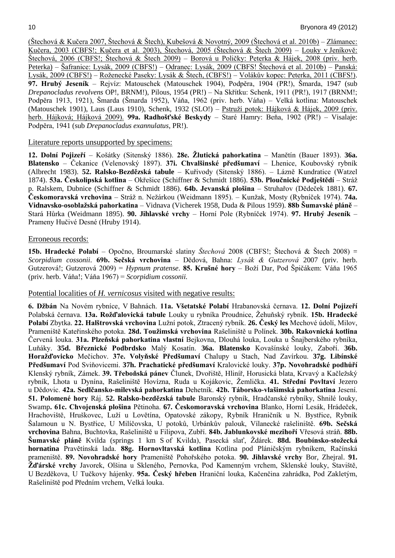(Štechová & Kučera 2007, Štechová & Štech), Kubešová & Novotný, 2009 (Štechová et al. 2010b) – Zlámanec: Kučera, 2003 (CBFS!; Kučera et al. 2003), Štechová, 2005 (Štechová & Štech 2009) – Louky v Jeníkově: Štechová, 2006 (CBFS!; Štechová & Štech 2009) – Borová u Poličky: Peterka & Hájek, 2008 (priv. herb. Peterka) – Šafranice: Lysák, 2009 (CBFS!) – Odranec: Lysák, 2009 (CBFS! Štechová et al. 2010b) – Panská: Lysák, 2009 (CBFS!) – Roženecké Paseky: Lysák & Štech, (CBFS!) – Volákův kopec: Peterka, 2011 (CBFS!). **97. Hrubý Jeseník** – Rejvíz: Matouschek (Matouschek 1904), Podpěra, 1904 (PR!), Šmarda, 1947 (sub *Drepanocladus revolvens* OP!, BRNM!), Pilous, 1954 (PR!) – Na Skřítku: Schenk, 1911 (PR!), 1917 (BRNM!; Podpěra 1913, 1921), Šmarda (Šmarda 1952), Váňa, 1962 (priv. herb. Váňa) – Velká kotlina: Matouschek (Matouschek 1901), Laus (Laus 1910), Schenk, 1932 (SLO!) – Pstruží potok: Hájková & Hájek, 2009 (priv. herb. Hájková; Hájková 2009). **99a. Radhošťské Beskydy** – Staré Hamry: Beňa, 1902 (PR!) – Visalaje: Podpěra, 1941 (sub *Drepanocladus exannulatus*, PR!).

## Literature reports unsupported by specimens:

**12. Dolní Pojizeří** – Košátky (Sitenský 1886). **28e. Žlutická pahorkatina** – Manětín (Bauer 1893). **36a. Blatensko** – Čekanice (Velenovský 1897). **37i. Chvalšinské předšumaví** – Lhenice, Koubovský rybník (Albrecht 1983). **52. Ralsko-Bezdězská tabule** – Kuřivody (Sitenský 1886). – Lázně Kundratice (Watzel 1874). **53a. Českolipská kotlina** – Okřešice (Schiffner & Schmidt 1886). **53b. Ploučnické Podještědí** – Stráž p. Ralskem, Dubnice (Schiffner & Schmidt 1886). **64b. Jevanská plošina** – Struhařov (Dědeček 1881). **67. Českomoravská vrchovina** – Stráž n. Nežárkou (Weidmann 1895). – Kunžak, Mosty (Rybníček 1974). **74a. Vidnavsko-osoblažská pahorkatina** – Vidnava (Vicherek 1958, Duda & Pilous 1959). **88b Šumavské pláně** – Stará Hůrka (Weidmann 1895). **90. Jihlavské vrchy** – Horní Pole (Rybníček 1974). **97. Hrubý Jeseník** – Prameny Hučivé Desné (Hruby 1914).

## Erroneous records:

**15b. Hradecké Polabí** – Opočno, Broumarské slatiny *Štechová* 2008 (CBFS!; Štechová & Štech 2008) = *Scorpidium cossonii*. **69b. Sečská vrchovina** – Dědová, Bahna: *Lysák & Gutzerová* 2007 (priv. herb. Gutzerová!; Gutzerová 2009) = *Hypnum pratense*. **85. Krušné hory** – Boží Dar, Pod Špičákem: Váňa 1965 (priv. herb. Váňa!; Váňa 1967) = *Scorpidium cossonii.*

# Potential localities of *H. vernicosus* visited with negative results:

**6. Džbán** Na Novém rybníce, V Bahnách. **11a. Všetatské Polabí** Hrabanovská černava. **12. Dolní Pojizeří** Polabská černava. **13a. Rožďalovická tabule** Louky u rybníka Proudnice, Žehuňský rybník. **15b. Hradecké Polabí** Zbytka. **22. Halštrovská vrchovina** Lužní potok, Ztracený rybník. **26. Český les** Mechové údolí, Milov, Prameniště Kateřinského potoka. **28d. Toužimská vrchovina** Rašeliniště u Polínek. **30b. Rakovnická kotlina** Červená louka. **31a. Plzeňská pahorkatina vlastní** Bejkovna, Dlouhá louka, Louka u Šnajberského rybníka, Luňáky. **35d. Březnické Podbrdsko** Malý Kosatín. **36a. Blatensko** Kovašínské louky, Zaboří. **36b. Horažďovicko** Mečichov. **37e. Volyňské Předšumaví** Chalupy u Stach, Nad Zavírkou. **37g. Libínské Předšumaví** Pod Sviňovicemi. **37h. Prachatické předšumaví** Kralovické louky. **37p. Novohradské podhůří** Klenský rybník, Zámek. **39. Třeboňská pánev** Člunek, Dvořiště, Hliníř, Horusická blata, Krvavý a Kačležský rybník, Lhota u Dynína, Rašeliniště Hovízna, Ruda u Kojákovic, Žemlička. **41. Střední Povltaví** Jezero u Dědovic. **42a. Sedlčansko-milevská pahorkatina** Dehetník. **42b. Táborsko-vlašimská pahorkatina** Jesení. **51. Polomené hory** Ráj. **52. Ralsko-bezdězská tabule** Baronský rybník, Hradčanské rybníky, Shnilé louky, Swamp**. 61c. Chvojenská plošina** Pětinoha. **67. Českomoravská vrchovina** Blanko, Horní Lesák, Hrádeček, Hrachoviště, Hruškovec, Luží u Lovětína, Opatovské zákopy, Rybník Hraničník u N. Bystřice, Rybník Šalamoun u N. Bystřice, U Milíčovska, U potoků, Urbánkův palouk, Vílanecké rašeliniště. **69b. Sečská vrchovina** Bahna, Buchtovka, Rašeliniště u Filipova, Zubří. **84b. Jablunkovské mezihoří** Vřesová stráň. **88b. Šumavské pláně** Kvilda (springs 1 km S of Kvilda), Pasecká slať, Ždárek. **88d. Boubínsko-stožecká hornatina** Pravětínská lada. **88g. Hornovltavská kotlina** Kotlina pod Pláničským rybníkem, Račínská prameniště. **89. Novohradské hory** Prameniště Pohořského potoka. **90. Jihlavské vrchy** Bor, Zhejral. **91. Žďárské vrchy** Javorek, Olšina u Skleného, Pernovka, Pod Kamenným vrchem, Sklenské louky, Staviště, U Bezděkova, U Tučkovy hájenky. **95a. Český hřeben** Hraniční louka, Kačenčina zahrádka, Pod Zakletým, Rašeliniště pod Předním vrchem, Velká louka.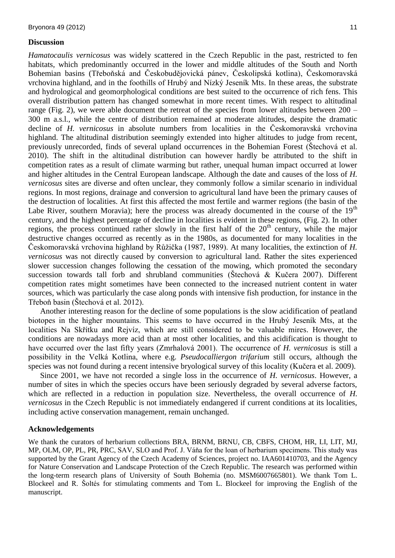## **Discussion**

*Hamatocaulis vernicosus* was widely scattered in the Czech Republic in the past, restricted to fen habitats, which predominantly occurred in the lower and middle altitudes of the South and North Bohemian basins (Třeboňská and Českobudějovická pánev, Českolipská kotlina), Českomoravská vrchovina highland, and in the foothills of Hrubý and Nízký Jeseník Mts. In these areas, the substrate and hydrological and geomorphological conditions are best suited to the occurrence of rich fens. This overall distribution pattern has changed somewhat in more recent times. With respect to altitudinal range (Fig. 2), we were able document the retreat of the species from lower altitudes between 200 – 300 m a.s.l., while the centre of distribution remained at moderate altitudes, despite the dramatic decline of *H. vernicosus* in absolute numbers from localities in the Českomoravská vrchovina highland. The altitudinal distribution seemingly extended into higher altitudes to judge from recent, previously unrecorded, finds of several upland occurrences in the Bohemian Forest (Štechová et al. 2010). The shift in the altitudinal distribution can however hardly be attributed to the shift in competition rates as a result of climate warming but rather, unequal human impact occurred at lower and higher altitudes in the Central European landscape. Although the date and causes of the loss of *H. vernicosus* sites are diverse and often unclear, they commonly follow a similar scenario in individual regions. In most regions, drainage and conversion to agricultural land have been the primary causes of the destruction of localities. At first this affected the most fertile and warmer regions (the basin of the Labe River, southern Moravia); here the process was already documented in the course of the  $19<sup>th</sup>$ century, and the highest percentage of decline in localities is evident in these regions, (Fig. 2). In other regions, the process continued rather slowly in the first half of the  $20<sup>th</sup>$  century, while the major destructive changes occurred as recently as in the 1980s, as documented for many localities in the Českomoravská vrchovina highland by Růžička (1987, 1989). At many localities, the extinction of *H. vernicosus* was not directly caused by conversion to agricultural land. Rather the sites experienced slower succession changes following the cessation of the mowing, which promoted the secondary succession towards tall forb and shrubland communities (Štechová & Kučera 2007). Different competition rates might sometimes have been connected to the increased nutrient content in water sources, which was particularly the case along ponds with intensive fish production, for instance in the Třeboň basin (Štechová et al. 2012).

Another interesting reason for the decline of some populations is the slow acidification of peatland biotopes in the higher mountains. This seems to have occurred in the Hrubý Jeseník Mts, at the localities Na Skřítku and Rejvíz, which are still considered to be valuable mires. However, the conditions are nowadays more acid than at most other localities, and this acidification is thought to have occurred over the last fifty years (Zmrhalová 2001). The occurrence of *H. vernicosus* is still a possibility in the Velká Kotlina, where e.g. *Pseudocalliergon trifarium* still occurs, although the species was not found during a recent intensive bryological survey of this locality (Kučera et al. 2009).

Since 2001, we have not recorded a single loss in the occurrence of *H. vernicosus*. However, a number of sites in which the species occurs have been seriously degraded by several adverse factors, which are reflected in a reduction in population size. Nevertheless, the overall occurrence of *H*. *vernicosus* in the Czech Republic is not immediately endangered if current conditions at its localities, including active conservation management, remain unchanged.

#### **Acknowledgements**

We thank the curators of herbarium collections BRA, BRNM, BRNU, CB, CBFS, CHOM, HR, LI, LIT, MJ, MP, OLM, OP, PL, PR, PRC, SAV, SLO and Prof. J. Váňa for the loan of herbarium specimens. This study was supported by the Grant Agency of the Czech Academy of Sciences, project no. IAA601410703, and the Agency for Nature Conservation and Landscape Protection of the Czech Republic. The research was performed within the long-term research plans of University of South Bohemia (no. MSM6007665801). We thank Tom L. Blockeel and R. Šoltés for stimulating comments and Tom L. Blockeel for improving the English of the manuscript.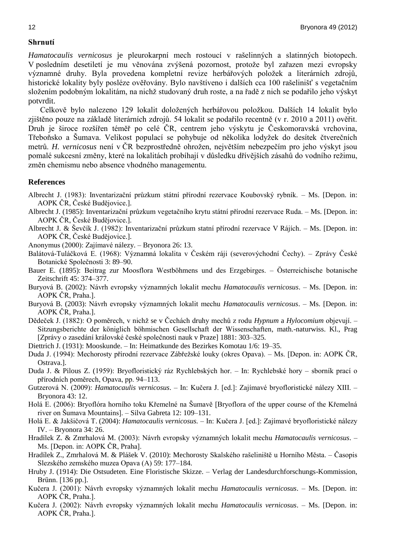# **Shrnutí**

*Hamatocaulis vernicosus* je pleurokarpní mech rostoucí v rašelinných a slatinných biotopech. V posledním desetiletí je mu věnována zvýšená pozornost, protože byl zařazen mezi evropsky významné druhy. Byla provedena kompletní revize herbářových položek a literárních zdrojů, historické lokality byly posléze ověřovány. Bylo navštíveno i dalších cca 100 rašelinišť s vegetačním složením podobným lokalitám, na nichž studovaný druh roste, a na řadě z nich se podařilo jeho výskyt potvrdit.

Celkově bylo nalezeno 129 lokalit doložených herbářovou položkou. Dalších 14 lokalit bylo zjištěno pouze na základě literárních zdrojů. 54 lokalit se podařilo recentně (v r. 2010 a 2011) ověřit. Druh je široce rozšířen téměř po celé ČR, centrem jeho výskytu je Českomoravská vrchovina, Třeboňsko a Šumava. Velikost populací se pohybuje od několika lodyžek do desítek čtverečních metrů. *H. vernicosus* není v ČR bezprostředně ohrožen, největším nebezpečím pro jeho výskyt jsou pomalé sukcesní změny, které na lokalitách probíhají v důsledku dřívějších zásahů do vodního režimu, změn chemismu nebo absence vhodného managementu.

#### **References**

- Albrecht J. (1983): Inventarizační průzkum státní přírodní rezervace Koubovský rybník. Ms. [Depon. in: AOPK ČR, České Budějovice.].
- Albrecht J. (1985): Inventarizační průzkum vegetačního krytu státní přírodní rezervace Ruda. Ms. [Depon. in: AOPK ČR, České Budějovice.].
- Albrecht J. & Ševčík J. (1982): Inventarizační průzkum statní přírodní rezervace V Rájích. Ms. [Depon. in: AOPK ČR, České Budějovice.].
- Anonymus (2000): Zajímavé nálezy. Bryonora 26: 13.
- Balátová-Tuláčková E. (1968): Významná lokalita v Českém ráji (severovýchodní Čechy). Zprávy České Botanické Společnosti 3: 89–90.
- Bauer E. (1895): Beitrag zur Moosflora Westböhmens und des Erzgebirges. Österreichische botanische Zeitschrift 45: 374–377.
- Buryová B. (2002): Návrh evropsky významných lokalit mechu *Hamatocaulis vernicosus*. Ms. [Depon. in: AOPK ČR, Praha.].
- Buryová B. (2003): Návrh evropsky významných lokalit mechu *Hamatocaulis vernicosus*. Ms. [Depon. in: AOPK ČR, Praha.].
- Dědeček J. (1882): O poměrech, v nichž se v Čechách druhy mechů z rodu *Hypnum* a *Hylocomium* objevují. Sitzungsberichte der königlich böhmischen Gesellschaft der Wissenschaften, math.-naturwiss. Kl., Prag [Zprávy o zasedání královské české společnosti nauk v Praze] 1881: 303–325.
- Diettrich J. (1931): Mooskunde. In: Heimatkunde des Bezirkes Komotau 1/6: 19–35.
- Duda J. (1994): Mechorosty přírodní rezervace Zábřežské louky (okres Opava). Ms. [Depon. in: AOPK ČR, Ostrava.].
- Duda J. & Pilous Z. (1959): Bryofloristický ráz Rychlebských hor. In: Rychlebské hory sborník prací o přírodních poměrech, Opava, pp. 94–113.
- Gutzerová N. (2009): *Hamatocaulis vernicosus*. In: Kučera J. [ed.]: Zajímavé bryofloristické nálezy XIII. Bryonora 43: 12.
- Holá E. (2006): Bryoflóra horního toku Křemelné na Šumavě [Bryoflora of the upper course of the Křemelná river on Šumava Mountains]. – Silva Gabreta 12: 109–131.
- Holá E. & Jakšičová T. (2004): *Hamatocaulis vernicosus. –* In: Kučera J. [ed.]: Zajímavé bryofloristické nálezy IV. – Bryonora 34: 26.
- Hradílek Z. & Zmrhalová M. (2003): Návrh evropsky významných lokalit mechu *Hamatocaulis vernicosus*. Ms. [Depon. in: AOPK ČR, Praha].
- Hradílek Z., Zmrhalová M. & Plášek V. (2010): Mechorosty Skalského rašeliniště u Horního Města. Časopis Slezského zemského muzea Opava (A) 59: 177–184.
- Hruby J. (1914): Die Ostsudeten. Eine Floristische Skizze. Verlag der Landesdurchforschungs-Kommission, Brünn. [136 pp.].
- Kučera J. (2001): Návrh evropsky významných lokalit mechu *Hamatocaulis vernicosus*. Ms. [Depon. in: AOPK ČR, Praha.].
- Kučera J. (2002): Návrh evropsky významných lokalit mechu *Hamatocaulis vernicosus*. Ms. [Depon. in: AOPK ČR, Praha.].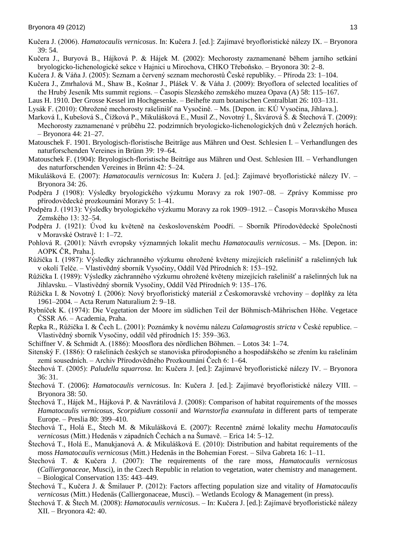- Kučera J. (2006). *Hamatocaulis vernicosus*. In: Kučera J. [ed.]: Zajímavé bryofloristické nálezy IX. Bryonora 39: 54.
- Kučera J., Buryová B., Hájková P. & Hájek M. (2002): Mechorosty zaznamenané během jarního setkání bryologicko-lichenologické sekce v Hajnici u Mirochova, CHKO Třeboňsko. – Bryonora 30: 2–8.
- Kučera J. & Váňa J. (2005): Seznam a červený seznam mechorostů České republiky. Příroda 23: 1–104.
- Kučera J., Zmrhalová M., Shaw B., Košnar J., Plášek V. & Váňa J. (2009): Bryoflora of selected localities of the Hrubý Jeseník Mts summit regions. – Časopis Slezského zemského muzea Opava (A) 58: 115–167.
- Laus H. 1910. Der Grosse Kessel im Hochgesenke. Beihefte zum botanischen Centralblatt 26: 103–131.
- Lysák F. (2010): Ohrožené mechorosty rašelinišť na Vysočině. Ms. [Depon. in: KÚ Vysočina, Jihlava.].
- Marková I., Kubešová S., Čížková P., Mikulášková E., Musil Z., Novotný I., Škvárová Š. & Štechová T. (2009): Mechorosty zaznamenané v průběhu 22. podzimních bryologicko-lichenologických dnů v Železných horách. – Bryonora 44: 21–27.
- Matouschek F. 1901. Bryologisch-floristische Beiträge aus Mähren und Oest. Schlesien I. Verhandlungen des naturforschenden Vereines in Brünn 39: 19–64.
- Matouschek F. (1904): Bryologisch-floristische Beiträge aus Mähren und Oest. Schlesien III. Verhandlungen des naturforschenden Vereines in Brünn 42: 5–24.
- Mikulášková E. (2007): *Hamatocaulis vernicosus* In: Kučera J. [ed.]: Zajímavé bryofloristické nálezy IV. Bryonora 34: 26.
- Podpěra J (1908): Výsledky bryologického výzkumu Moravy za rok 1907–08. Zprávy Kommisse pro přírodovědecké prozkoumání Moravy 5: 1–41.
- Podpěra J. (1913): Výsledky bryologického výzkumu Moravy za rok 1909–1912. Časopis Moravského Musea Zemského 13: 32–54.
- Podpěra J. (1921): Úvod ku květeně na československém Poodří. Sborník Přírodovědecké Společnosti v Moravské Ostravě 1: 1–72.
- Pohlová R. (2001): Návrh evropsky významných lokalit mechu *Hamatocaulis vernicosus*. Ms. [Depon. in: AOPK ČR, Praha.].
- Růžička I. (1987): Výsledky záchranného výzkumu ohrožené květeny mizejících rašelinišť a rašelinných luk v okolí Telče. – Vlastivědný sborník Vysočiny, Oddíl Věd Přírodních 8: 153–192.
- Růžička I. (1989): Výsledky záchranného výzkumu ohrožené květeny mizejících rašelinišť a rašelinných luk na Jihlavsku. – Vlastivědný sborník Vysočiny, Oddíl Věd Přírodních 9: 135–176.
- Růžička I. & Novotný I. (2006): Nový bryofloristický materiál z Českomoravské vrchoviny doplňky za léta 1961–2004. – Acta Rerum Naturalium 2: 9–18.
- Rybníček K. (1974): Die Vegetation der Moore im südlichen Teil der Böhmisch-Mährischen Höhe. Vegetace ČSSR A6. – Academia, Praha.
- Řepka R., Růžička I. & Čech L. (2001): Poznámky k novému nálezu *Calamagrostis stricta* v České republice. Vlastivědný sborník Vysočiny, oddíl věd přírodních 15: 359–363.
- Schiffner V. & Schmidt A. (1886): Moosflora des nördlichen Böhmen. Lotos 34: 1–74.
- Sitenský F. (1886): O rašelinách českých se stanoviska přírodopisného a hospodářského se zřením ku rašelinám zemí sousedních. – Archiv Přírodovědného Prozkoumání Čech 6: 1–64.
- Štechová T. (2005): *Paludella squarrosa*. In: Kučera J. [ed.]: Zajímavé bryofloristické nálezy IV. Bryonora 36: 31.
- Štechová T. (2006): *Hamatocaulis vernicosus*. In: Kučera J. [ed.]: Zajímavé bryofloristické nálezy VIII. Bryonora 38: 50.
- Štechová T., Hájek M., Hájková P. & Navrátilová J. (2008): Comparison of habitat requirements of the mosses *Hamatocaulis vernicosus*, *Scorpidium cossonii* and *Warnstorfia exannulata* in different parts of temperate Europe. – Preslia 80: 399–410.
- Štechová T., Holá E., Štech M. & Mikulášková E. (2007): Recentně známé lokality mechu *Hamatocaulis vernicosus* (Mitt.) Hedenäs v západních Čechách a na Šumavě. – Erica 14: 5–12.
- Štechová T., Holá E., Manukjanová A. & Mikulášková E. (2010): Distribution and habitat requirements of the moss *Hamatocaulis vernicosus* (Mitt.) Hedenäs in the Bohemian Forest. – Silva Gabreta 16: 1–11.
- Štechová T. & Kučera J. (2007): The requirements of the rare moss, *Hamatocaulis vernicosus* (*Calliergonaceae*, Musci), in the Czech Republic in relation to vegetation, water chemistry and management. – Biological Conservation 135: 443–449.
- Štechová T., Kučera J. & Šmilauer P. (2012): Factors affecting population size and vitality of *Hamatocaulis vernicosus* (Mitt.) Hedenäs (Calliergonaceae, Musci). – Wetlands Ecology & Management (in press).
- Štechová T. & Štech M. (2008): *Hamatocaulis vernicosus*. In: Kučera J. [ed.]: Zajímavé bryofloristické nálezy XII. – Bryonora 42: 40.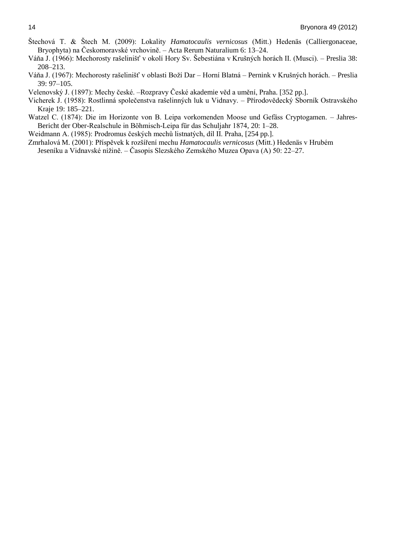- Štechová T. & Štech M. (2009): Lokality *Hamatocaulis vernicosus* (Mitt.) Hedenäs (Calliergonaceae, Bryophyta) na Českomoravské vrchovině. – Acta Rerum Naturalium 6: 13–24.
- Váňa J. (1966): Mechorosty rašelinišť v okolí Hory Sv. Šebestiána v Krušných horách II. (Musci). Preslia 38: 208–213.
- Váňa J. (1967): Mechorosty rašelinišť v oblasti Boží Dar Horní Blatná Pernink v Krušných horách. Preslia 39: 97–105.
- Velenovský J. (1897): Mechy české. –Rozpravy České akademie věd a umění, Praha. [352 pp.].
- Vicherek J. (1958): Rostlinná společenstva rašelinných luk u Vidnavy. Přírodovědecký Sborník Ostravského Kraje 19: 185–221.
- Watzel C. (1874): Die im Horizonte von B. Leipa vorkomenden Moose und Gefäss Cryptogamen. Jahres-Bericht der Ober-Realschule in Böhmisch-Leipa für das Schuljahr 1874, 20: 1–28.

Weidmann A. (1985): Prodromus českých mechů listnatých, díl II. Praha, [254 pp.].

Zmrhalová M. (2001): Příspěvek k rozšíření mechu *Hamatocaulis vernicosus* (Mitt.) Hedenäs v Hrubém Jeseníku a Vidnavské nížině. – Časopis Slezského Zemského Muzea Opava (A) 50: 22–27.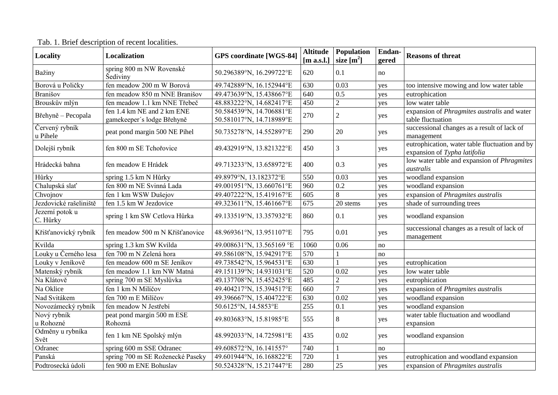| <b>Locality</b>             | <b>Localization</b>                                      | <b>GPS</b> coordinate [WGS-84]                       | <b>Altitude</b> | Population     | Endan- |                                                                                |  |
|-----------------------------|----------------------------------------------------------|------------------------------------------------------|-----------------|----------------|--------|--------------------------------------------------------------------------------|--|
|                             |                                                          |                                                      | [m a.s.l.]      | size $[m^2]$   | gered  | <b>Reasons of threat</b>                                                       |  |
| Bažiny                      | spring 800 m NW Rovenské<br>Šediviny                     | 50.296389°N, 16.299722°E                             | 620             | 0.1            | no     |                                                                                |  |
| Borová u Poličky            | fen meadow 200 m W Borová                                | 49.742889°N, 16.152944°E                             | 630             | 0.03           | yes    | too intensive mowing and low water table                                       |  |
| Branišov                    | fen meadow 850 m NNE Branišov                            | 49.473639°N, 15.438667°E                             | 640             | 0.5            | yes    | eutrophication                                                                 |  |
| Brouskův mlýn               | fen meadow 1.1 km NNE Třebeč                             | 48.883222°N, 14.682417°E                             | 450             | $\overline{c}$ | yes    | low water table                                                                |  |
| Břehyně – Pecopala          | fen 1.4 km NE and 2 km ENE<br>gamekeeper's lodge Břehyně | 50.584539°N, 14.706881°E<br>50.581017°N, 14.718989°E | 270             | $\overline{2}$ | yes    | expansion of <i>Phragmites australis</i> and water<br>table fluctuation        |  |
| Červený rybník<br>u Pihele  | peat pond margin 500 NE Pihel                            | 50.735278°N, 14.552897°E                             | 290             | 20             | yes    | successional changes as a result of lack of<br>management                      |  |
| Dolejší rybník              | fen 800 m SE Tchořovice                                  | 49.432919°N, 13.821322°E                             | 450             | 3              | yes    | eutrophication, water table fluctuation and by<br>expansion of Typha latifolia |  |
| Hrádecká bahna              | fen meadow E Hrádek                                      | 49.713233°N, 13.658972°E                             | 400             | 0.3            | yes    | low water table and expansion of <i>Phragmites</i><br>australis                |  |
| Hůrky                       | spring 1.5 km N Hůrky                                    | 49.8979°N, 13.182372°E                               | 550             | 0.03           | yes    | woodland expansion                                                             |  |
| Chalupská slať              | fen 800 m NE Svinná Lada                                 | 49.001951°N, 13.660761°E                             | 960             | 0.2            | yes    | woodland expansion                                                             |  |
| Chvojnov                    | fen 1 km WSW Dušejov                                     | 49.407222°N, 15.419167°E                             | 605             | 8              | yes    | expansion of Phragmites australis                                              |  |
| Jezdovické rašeliniště      | fen 1.5 km W Jezdovice                                   | 49.323611°N, 15.461667°E                             | 675             | 20 stems       | yes    | shade of surrounding trees                                                     |  |
| Jezerní potok u<br>C. Hůrky | spring 1 km SW Cetlova Hůrka                             | 49.133519°N, 13.357932°E                             | 860             | 0.1            | yes    | woodland expansion                                                             |  |
| Křišťanovický rybník        | fen meadow 500 m N Křišťanovice                          | 48.969361°N, 13.951107°E                             | 795             | 0.01           | yes    | successional changes as a result of lack of<br>management                      |  |
| Kvilda                      | spring 1.3 km SW Kvilda                                  | 49.008631°N, 13.565169 °E                            | 1060            | 0.06           | no     |                                                                                |  |
| Louky u Černého lesa        | fen 700 m N Zelená hora                                  | 49.586108°N, 15.942917°E                             | 570             |                | no     |                                                                                |  |
| Louky v Jeníkově            | fen meadow 600 m SE Jeníkov                              | 49.738542°N, 15.964531°E                             | 630             |                | yes    | eutrophication                                                                 |  |
| Matenský rybník             | fen meadow 1.1 km NW Matná                               | 49.151139°N; 14.931031°E                             | 520             | 0.02           | yes    | low water table                                                                |  |
| Na Klátově                  | spring 700 m SE Myslůvka                                 | 49.137708°N, 15.452425°E                             | 485             | $\overline{2}$ | yes    | eutrophication                                                                 |  |
| Na Oklice                   | fen 1 km N Milíčov                                       | 49.404217°N, 15.394517°E                             | 660             |                | yes    | expansion of Phragmites australis                                              |  |
| Nad Svitákem                | fen 700 m E Milíčov                                      | 49.396667°N, 15.404722°E                             | 630             | 0.02           | yes    | woodland expansion                                                             |  |
| Novozámecký rybník          | fen meadow N Jestřebí                                    | 50.6125°N, 14.5853°E                                 | 255             | 0.1            | yes    | woodland expansion                                                             |  |
| Nový rybník<br>u Rohozné    | peat pond margin 500 m ESE<br>Rohozná                    | 49.803683°N, 15.81985°E                              | 555             | 8              | yes    | water table fluctuation and woodland<br>expansion                              |  |
| Odměny u rybníka<br>Svět    | fen 1 km NE Spolský mlýn                                 | 48.992033°N, 14.725981°E                             | 435             | 0.02           | yes    | woodland expansion                                                             |  |
| Odranec                     | spring 600 m SSE Odranec                                 | 49.608572°N, 16.141557°                              | 740             |                | no     |                                                                                |  |
| Panská                      | spring 700 m SE Roženecké Paseky                         | 49.601944°N, 16.168822°E                             | 720             |                | yes    | eutrophication and woodland expansion                                          |  |
| Podtrosecká údolí           | fen 900 m ENE Bohuslav                                   | 50.524328°N, 15.217447°E                             | 280             | 25             | yes    | expansion of <i>Phragmites australis</i>                                       |  |

# Tab. 1. Brief description of recent localities.